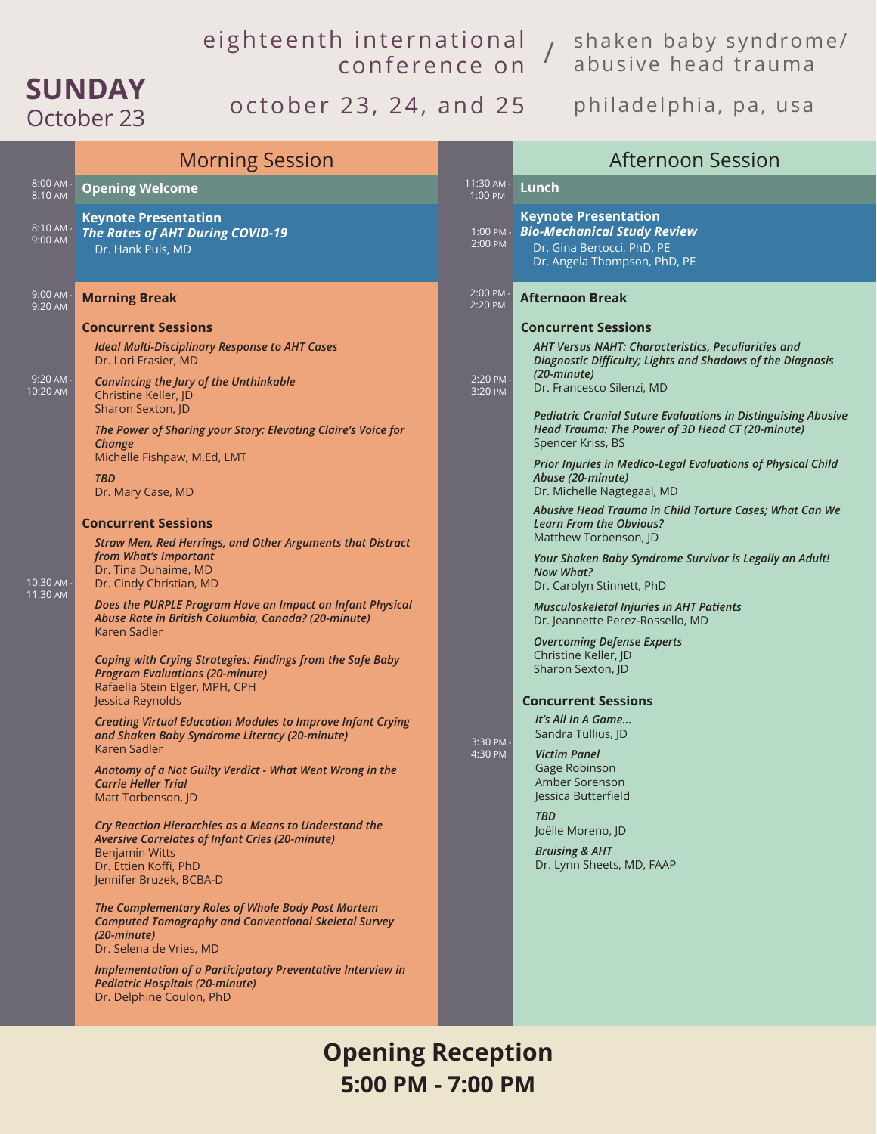## eighteenth international conference on

shaken baby syndrome/ abusive head trauma /

## **SUNDAY** October 23

## october 23, 24, and 25 philadelphia, pa, usa

|                        | <b>Morning Session</b>                                                                                                                                                                                                                                                                                                                                                                                                                                                                                                                                                                                                                                                                                                                                                       |                       | <b>Afternoon Session</b>                                                                                                                                                                                                                                                                                                |
|------------------------|------------------------------------------------------------------------------------------------------------------------------------------------------------------------------------------------------------------------------------------------------------------------------------------------------------------------------------------------------------------------------------------------------------------------------------------------------------------------------------------------------------------------------------------------------------------------------------------------------------------------------------------------------------------------------------------------------------------------------------------------------------------------------|-----------------------|-------------------------------------------------------------------------------------------------------------------------------------------------------------------------------------------------------------------------------------------------------------------------------------------------------------------------|
| $8:00$ AM -<br>8:10 AM | <b>Opening Welcome</b>                                                                                                                                                                                                                                                                                                                                                                                                                                                                                                                                                                                                                                                                                                                                                       | 11:30 AM -<br>1:00 PM | Lunch                                                                                                                                                                                                                                                                                                                   |
| 8:10 AM -<br>9:00 AM   | <b>Keynote Presentation</b><br><b>The Rates of AHT During COVID-19</b><br>Dr. Hank Puls, MD                                                                                                                                                                                                                                                                                                                                                                                                                                                                                                                                                                                                                                                                                  | 1:00 PM -<br>2:00 PM  | <b>Keynote Presentation</b><br><b>Bio-Mechanical Study Review</b><br>Dr. Gina Bertocci, PhD, PE<br>Dr. Angela Thompson, PhD, PE                                                                                                                                                                                         |
| 9:00 AM -<br>9:20 AM   | <b>Morning Break</b>                                                                                                                                                                                                                                                                                                                                                                                                                                                                                                                                                                                                                                                                                                                                                         | 2:00 PM<br>2:20 PM    | <b>Afternoon Break</b>                                                                                                                                                                                                                                                                                                  |
| 9:20 AM -<br>10:20 AM  | <b>Concurrent Sessions</b><br><b>Ideal Multi-Disciplinary Response to AHT Cases</b><br>Dr. Lori Frasier, MD<br>Convincing the Jury of the Unthinkable<br>Christine Keller, JD<br>Sharon Sexton, JD<br>The Power of Sharing your Story: Elevating Claire's Voice for                                                                                                                                                                                                                                                                                                                                                                                                                                                                                                          | 2:20 PM -<br>3:20 PM  | <b>Concurrent Sessions</b><br>AHT Versus NAHT: Characteristics, Peculiarities and<br>Diagnostic Difficulty; Lights and Shadows of the Diagnosis<br>(20-minute)<br>Dr. Francesco Silenzi, MD<br><b>Pediatric Cranial Suture Evaluations in Distinguising Abusive</b><br>Head Trauma: The Power of 3D Head CT (20-minute) |
|                        | Change<br>Michelle Fishpaw, M.Ed, LMT<br><b>TBD</b><br>Dr. Mary Case, MD<br><b>Concurrent Sessions</b>                                                                                                                                                                                                                                                                                                                                                                                                                                                                                                                                                                                                                                                                       |                       | Spencer Kriss, BS<br>Prior Injuries in Medico-Legal Evaluations of Physical Child<br>Abuse (20-minute)<br>Dr. Michelle Nagtegaal, MD<br>Abusive Head Trauma in Child Torture Cases; What Can We<br><b>Learn From the Obvious?</b>                                                                                       |
| 10:30 AM -<br>11:30 AM | Straw Men, Red Herrings, and Other Arguments that Distract<br>from What's Important<br>Dr. Tina Duhaime, MD<br>Dr. Cindy Christian, MD                                                                                                                                                                                                                                                                                                                                                                                                                                                                                                                                                                                                                                       |                       | Matthew Torbenson, JD<br>Your Shaken Baby Syndrome Survivor is Legally an Adult!<br><b>Now What?</b><br>Dr. Carolyn Stinnett, PhD                                                                                                                                                                                       |
|                        | Does the PURPLE Program Have an Impact on Infant Physical<br>Abuse Rate in British Columbia, Canada? (20-minute)<br>Karen Sadler<br><b>Coping with Crying Strategies: Findings from the Safe Baby</b><br><b>Program Evaluations (20-minute)</b><br>Rafaella Stein Elger, MPH, CPH                                                                                                                                                                                                                                                                                                                                                                                                                                                                                            |                       | <b>Musculoskeletal Injuries in AHT Patients</b><br>Dr. Jeannette Perez-Rossello, MD<br><b>Overcoming Defense Experts</b><br>Christine Keller, JD<br>Sharon Sexton, JD                                                                                                                                                   |
|                        | Jessica Reynolds<br><b>Creating Virtual Education Modules to Improve Infant Crying</b><br>and Shaken Baby Syndrome Literacy (20-minute)<br>Karen Sadler<br>Anatomy of a Not Guilty Verdict - What Went Wrong in the<br><b>Carrie Heller Trial</b><br>Matt Torbenson, JD<br>Cry Reaction Hierarchies as a Means to Understand the<br>Aversive Correlates of Infant Cries (20-minute)<br><b>Benjamin Witts</b><br>Dr. Ettien Koffi, PhD<br>Jennifer Bruzek, BCBA-D<br>The Complementary Roles of Whole Body Post Mortem<br><b>Computed Tomography and Conventional Skeletal Survey</b><br>$(20\text{-}minute)$<br>Dr. Selena de Vries, MD<br>Implementation of a Participatory Preventative Interview in<br><b>Pediatric Hospitals (20-minute)</b><br>Dr. Delphine Coulon, PhD | 3:30 PM<br>4:30 PM    | <b>Concurrent Sessions</b><br>It's All In A Game<br>Sandra Tullius, JD<br><b>Victim Panel</b><br>Gage Robinson<br>Amber Sorenson<br>Jessica Butterfield<br><b>TBD</b><br>Joëlle Moreno, JD<br><b>Bruising &amp; AHT</b><br>Dr. Lynn Sheets, MD, FAAP                                                                    |

**Opening Reception 5:00 PM - 7:00 PM**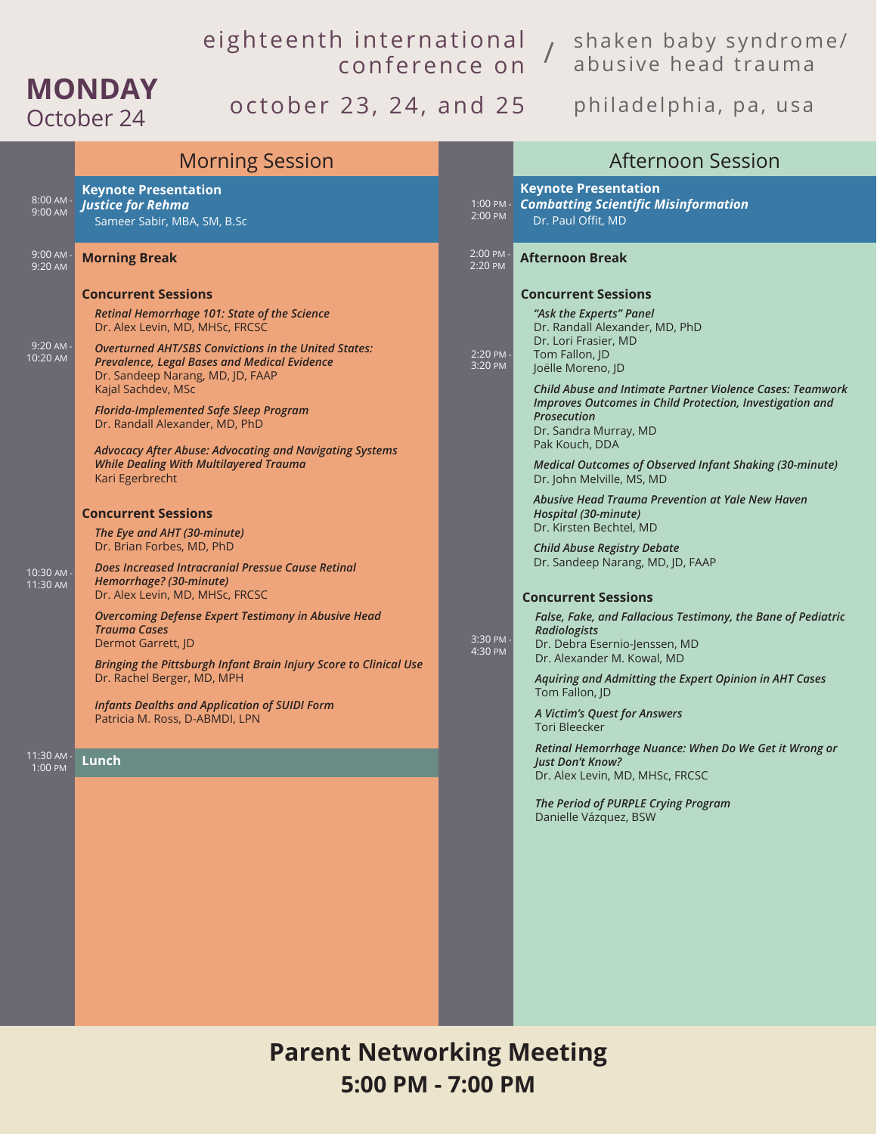## eighteenth international conference on

shaken baby syndrome/ abusive head trauma /

## october 23, 24, and 25 philadelphia, pa, usa

**MONDAY**

|                                                                          | <b>Morning Session</b>                                                                                                                                                                                                                                                                                                                                                                                                                                                                                                                                                                                                                                                                                                                                                                                                                                                                                                                                                                                                                               |                                            | <b>Afternoon Session</b>                                                                                                                                                                                                                                                                                                                                                                                                                                                                                                                                                                                                                                                                                                                                                                                                                                                                                                                                                                                                                                                                                                   |
|--------------------------------------------------------------------------|------------------------------------------------------------------------------------------------------------------------------------------------------------------------------------------------------------------------------------------------------------------------------------------------------------------------------------------------------------------------------------------------------------------------------------------------------------------------------------------------------------------------------------------------------------------------------------------------------------------------------------------------------------------------------------------------------------------------------------------------------------------------------------------------------------------------------------------------------------------------------------------------------------------------------------------------------------------------------------------------------------------------------------------------------|--------------------------------------------|----------------------------------------------------------------------------------------------------------------------------------------------------------------------------------------------------------------------------------------------------------------------------------------------------------------------------------------------------------------------------------------------------------------------------------------------------------------------------------------------------------------------------------------------------------------------------------------------------------------------------------------------------------------------------------------------------------------------------------------------------------------------------------------------------------------------------------------------------------------------------------------------------------------------------------------------------------------------------------------------------------------------------------------------------------------------------------------------------------------------------|
| $8:00$ AM -<br>9:00 AM                                                   | <b>Keynote Presentation</b><br>Justice for Rehma<br>Sameer Sabir, MBA, SM, B.Sc                                                                                                                                                                                                                                                                                                                                                                                                                                                                                                                                                                                                                                                                                                                                                                                                                                                                                                                                                                      | 2:00 PM                                    | <b>Keynote Presentation</b><br>1:00 PM - Combatting Scientific Misinformation<br>Dr. Paul Offit, MD                                                                                                                                                                                                                                                                                                                                                                                                                                                                                                                                                                                                                                                                                                                                                                                                                                                                                                                                                                                                                        |
| 9:00 AM<br>9:20 AM                                                       | <b>Morning Break</b>                                                                                                                                                                                                                                                                                                                                                                                                                                                                                                                                                                                                                                                                                                                                                                                                                                                                                                                                                                                                                                 | 2:00 PM<br>2:20 PM                         | <b>Afternoon Break</b>                                                                                                                                                                                                                                                                                                                                                                                                                                                                                                                                                                                                                                                                                                                                                                                                                                                                                                                                                                                                                                                                                                     |
| 9:20 AM -<br>10:20 AM<br>10:30 AM -<br>11:30 AM<br>11:30 AM -<br>1:00 PM | <b>Concurrent Sessions</b><br>Retinal Hemorrhage 101: State of the Science<br>Dr. Alex Levin, MD, MHSc, FRCSC<br><b>Overturned AHT/SBS Convictions in the United States:</b><br><b>Prevalence, Legal Bases and Medical Evidence</b><br>Dr. Sandeep Narang, MD, JD, FAAP<br>Kajal Sachdev, MSc<br><b>Florida-Implemented Safe Sleep Program</b><br>Dr. Randall Alexander, MD, PhD<br><b>Advocacy After Abuse: Advocating and Navigating Systems</b><br><b>While Dealing With Multilayered Trauma</b><br>Kari Egerbrecht<br><b>Concurrent Sessions</b><br>The Eye and AHT (30-minute)<br>Dr. Brian Forbes, MD, PhD<br>Does Increased Intracranial Pressue Cause Retinal<br>Hemorrhage? (30-minute)<br>Dr. Alex Levin, MD, MHSc, FRCSC<br><b>Overcoming Defense Expert Testimony in Abusive Head</b><br><b>Trauma Cases</b><br>Dermot Garrett, JD<br>Bringing the Pittsburgh Infant Brain Injury Score to Clinical Use<br>Dr. Rachel Berger, MD, MPH<br><b>Infants Dealths and Application of SUIDI Form</b><br>Patricia M. Ross, D-ABMDI, LPN<br>Lunch | 2:20 PM<br>3:20 PM<br>3:30 PM -<br>4:30 PM | <b>Concurrent Sessions</b><br>"Ask the Experts" Panel<br>Dr. Randall Alexander, MD, PhD<br>Dr. Lori Frasier, MD<br>Tom Fallon, JD<br>Joëlle Moreno, JD<br><b>Child Abuse and Intimate Partner Violence Cases: Teamwork</b><br>Improves Outcomes in Child Protection, Investigation and<br>Prosecution<br>Dr. Sandra Murray, MD<br>Pak Kouch, DDA<br>Medical Outcomes of Observed Infant Shaking (30-minute)<br>Dr. John Melville, MS, MD<br>Abusive Head Trauma Prevention at Yale New Haven<br>Hospital (30-minute)<br>Dr. Kirsten Bechtel, MD<br><b>Child Abuse Registry Debate</b><br>Dr. Sandeep Narang, MD, JD, FAAP<br><b>Concurrent Sessions</b><br>False, Fake, and Fallacious Testimony, the Bane of Pediatric<br>Radiologists<br>Dr. Debra Esernio-Jenssen, MD<br>Dr. Alexander M. Kowal, MD<br>Aquiring and Admitting the Expert Opinion in AHT Cases<br>Tom Fallon, JD<br>A Victim's Quest for Answers<br><b>Tori Bleecker</b><br>Retinal Hemorrhage Nuance: When Do We Get it Wrong or<br>Just Don't Know?<br>Dr. Alex Levin, MD, MHSc, FRCSC<br>The Period of PURPLE Crying Program<br>Danielle Vázquez, BSW |
|                                                                          |                                                                                                                                                                                                                                                                                                                                                                                                                                                                                                                                                                                                                                                                                                                                                                                                                                                                                                                                                                                                                                                      |                                            |                                                                                                                                                                                                                                                                                                                                                                                                                                                                                                                                                                                                                                                                                                                                                                                                                                                                                                                                                                                                                                                                                                                            |

**Parent Networking Meeting 5:00 PM - 7:00 PM**